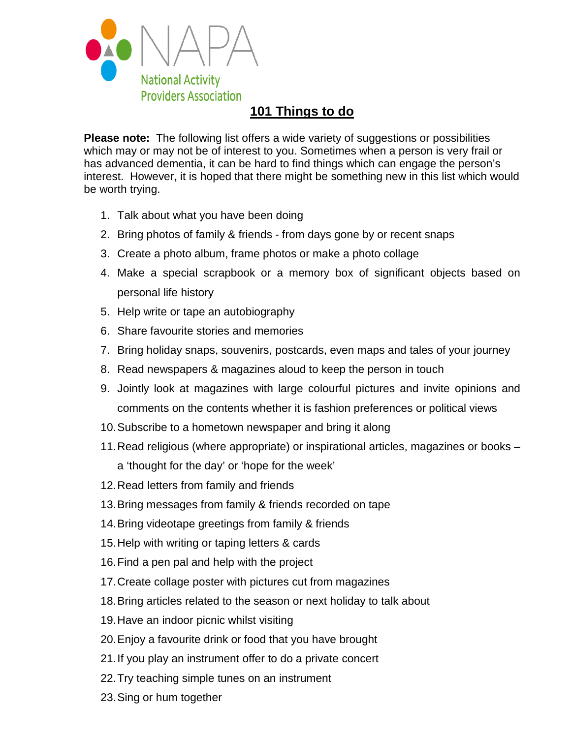

## **101 Things to do**

**Please note:** The following list offers a wide variety of suggestions or possibilities which may or may not be of interest to you. Sometimes when a person is very frail or has advanced dementia, it can be hard to find things which can engage the person's interest. However, it is hoped that there might be something new in this list which would be worth trying.

- 1. Talk about what you have been doing
- 2. Bring photos of family & friends from days gone by or recent snaps
- 3. Create a photo album, frame photos or make a photo collage
- 4. Make a special scrapbook or a memory box of significant objects based on personal life history
- 5. Help write or tape an autobiography
- 6. Share favourite stories and memories
- 7. Bring holiday snaps, souvenirs, postcards, even maps and tales of your journey
- 8. Read newspapers & magazines aloud to keep the person in touch
- 9. Jointly look at magazines with large colourful pictures and invite opinions and comments on the contents whether it is fashion preferences or political views
- 10.Subscribe to a hometown newspaper and bring it along
- 11.Read religious (where appropriate) or inspirational articles, magazines or books a 'thought for the day' or 'hope for the week'
- 12.Read letters from family and friends
- 13.Bring messages from family & friends recorded on tape
- 14.Bring videotape greetings from family & friends
- 15.Help with writing or taping letters & cards
- 16.Find a pen pal and help with the project
- 17.Create collage poster with pictures cut from magazines
- 18.Bring articles related to the season or next holiday to talk about
- 19.Have an indoor picnic whilst visiting
- 20.Enjoy a favourite drink or food that you have brought
- 21.If you play an instrument offer to do a private concert
- 22.Try teaching simple tunes on an instrument
- 23.Sing or hum together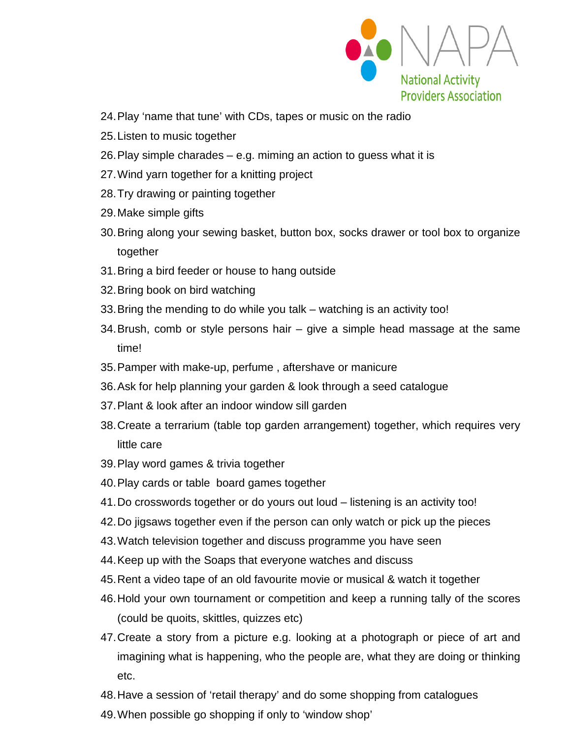

- 24.Play 'name that tune' with CDs, tapes or music on the radio
- 25.Listen to music together
- 26.Play simple charades e.g. miming an action to guess what it is
- 27.Wind yarn together for a knitting project
- 28.Try drawing or painting together
- 29.Make simple gifts
- 30.Bring along your sewing basket, button box, socks drawer or tool box to organize together
- 31.Bring a bird feeder or house to hang outside
- 32.Bring book on bird watching
- 33.Bring the mending to do while you talk watching is an activity too!
- 34.Brush, comb or style persons hair give a simple head massage at the same time!
- 35.Pamper with make-up, perfume , aftershave or manicure
- 36.Ask for help planning your garden & look through a seed catalogue
- 37.Plant & look after an indoor window sill garden
- 38.Create a terrarium (table top garden arrangement) together, which requires very little care
- 39.Play word games & trivia together
- 40.Play cards or table board games together
- 41.Do crosswords together or do yours out loud listening is an activity too!
- 42.Do jigsaws together even if the person can only watch or pick up the pieces
- 43.Watch television together and discuss programme you have seen
- 44.Keep up with the Soaps that everyone watches and discuss
- 45.Rent a video tape of an old favourite movie or musical & watch it together
- 46.Hold your own tournament or competition and keep a running tally of the scores (could be quoits, skittles, quizzes etc)
- 47.Create a story from a picture e.g. looking at a photograph or piece of art and imagining what is happening, who the people are, what they are doing or thinking etc.
- 48.Have a session of 'retail therapy' and do some shopping from catalogues
- 49.When possible go shopping if only to 'window shop'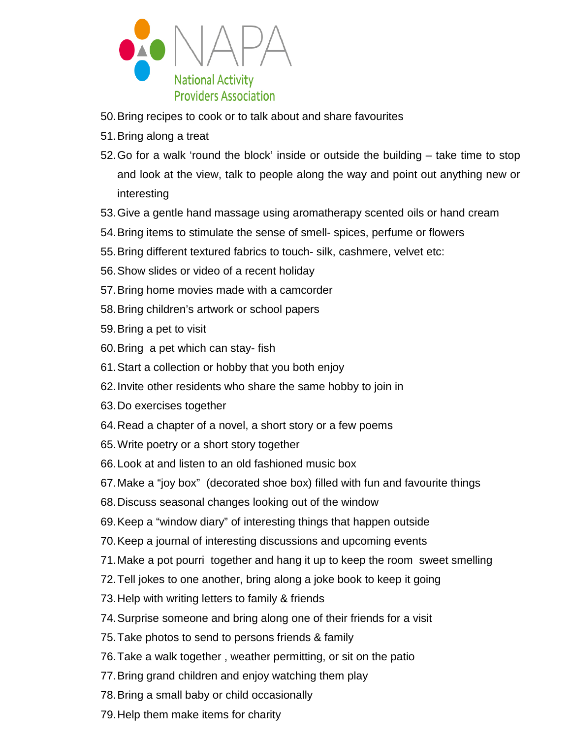

- 50.Bring recipes to cook or to talk about and share favourites
- 51.Bring along a treat
- 52.Go for a walk 'round the block' inside or outside the building take time to stop and look at the view, talk to people along the way and point out anything new or interesting
- 53.Give a gentle hand massage using aromatherapy scented oils or hand cream
- 54.Bring items to stimulate the sense of smell- spices, perfume or flowers
- 55.Bring different textured fabrics to touch- silk, cashmere, velvet etc:
- 56.Show slides or video of a recent holiday
- 57.Bring home movies made with a camcorder
- 58.Bring children's artwork or school papers
- 59.Bring a pet to visit
- 60.Bring a pet which can stay- fish
- 61.Start a collection or hobby that you both enjoy
- 62.Invite other residents who share the same hobby to join in
- 63.Do exercises together
- 64.Read a chapter of a novel, a short story or a few poems
- 65.Write poetry or a short story together
- 66.Look at and listen to an old fashioned music box
- 67.Make a "joy box" (decorated shoe box) filled with fun and favourite things
- 68.Discuss seasonal changes looking out of the window
- 69.Keep a "window diary" of interesting things that happen outside
- 70.Keep a journal of interesting discussions and upcoming events
- 71.Make a pot pourri together and hang it up to keep the room sweet smelling
- 72.Tell jokes to one another, bring along a joke book to keep it going
- 73.Help with writing letters to family & friends
- 74.Surprise someone and bring along one of their friends for a visit
- 75.Take photos to send to persons friends & family
- 76.Take a walk together , weather permitting, or sit on the patio
- 77.Bring grand children and enjoy watching them play
- 78.Bring a small baby or child occasionally
- 79.Help them make items for charity